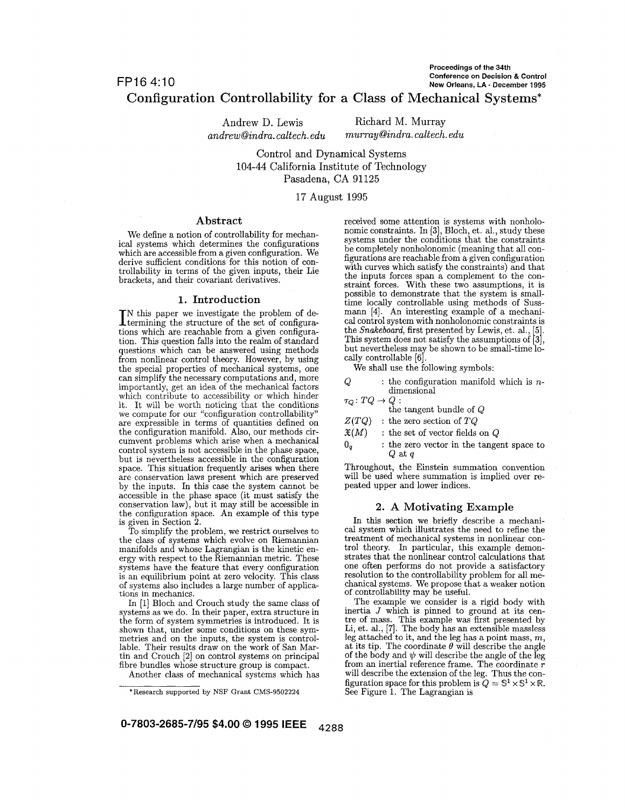**Proceedings** *of* **the 34th Conference on Decision** & **Control** FP16 4:lO **New Orleans, LA** - **December 1995** 

# Configuration Controllability **for** a Class **of** Mechanical Systems\*

Andrew D. Lewis Richard M. Murray *andrewoindra. caltech. edu murray@indra. caltech. edu* 

# Control and Dynamical Systems **104-44** California Institute of Technology Pasadena, CA 91125

## 17 August 1995

## Abstract

We define a notion of controllability for mechanical systems which determines the configurations which are accessible from a given configuration. We derive sufficient conditions for this notion of conderive sufficient conditions for the given inputs, their Lie brackets, and their covariant derivatives.

## 1. Introduction

 $\Gamma_{\rm M}$  this paper we investigate the problem of determining the structure of the set of configurations which are reachable from a given configuration. This question falls into the realm of standard questions which can be answered using methods from nonlinear control theory. However, by using<br>the special properties of mechanical systems, one can simplify the necessary computations and, more importantly, get an idea of the mechanical factors which contribute to accessibility or which hinder it. It will be worth noticing that the conditions we compute for our "configuration controllability" are expressible in terms of quantities defined on the configuration manifold. Also, our methods circumvent problems which arise when a mechanical control system is not accessible in the phase space, but is nevertheless accessible in the configuration<br>space. This situation frequently arises when there are conservation laws present which are preserved by the inputs. In this case the system cannot be accessible in the phase space (it must satisfy the conservation law), but it may still be accessible in the configuration space. An example of this type is given in Section *2.* 

To simplify the problem, we restrict ourselves to the class of systems which evolve on Riemannian manifolds and whose Lagrangian is the kinetic energy with respect to the Riemannian metric. These systems have the feature that every configuration is an equilibrium point at zero velocity. This class of systems also includes a large number of applica- tions in mechanics.

In [l] Bloch and Crouch study the same class of systems as we do. In their paper, extra structure in the form of system symmetries is introduced. It is shown that, under some conditions on these symmetries and on the inputs, the system is controllable. Their results draw on the work of San Martin and Crouch *[2]* on control systems on principal fibre bundles whose structure group is compact.

received some attention is systems with nonholonomic constraints. In **[3],** Bloch, et. al., study these systems under the conditions that the constraints<br>be completely nonholonomic (meaning that all con $figurations are reachable from a given configuration$ with curves which satisfy the constraints) and that the inputs forces span a complement to the constraint forces. With these two assumptions, it is possible to demonstrate that the system is small-<br>time locally controllable using methods of Susstime locally controllable using methods of Suss- mann **[4].** An interesting example of a mechanical control system with nonholonomic constraints is the *Snakeboard,* first presented by Lewis, et. al., **5** . This system does not satisfy the assumptions of **131,**  but nevertheless may be shown to be small-time locally controllable *[6].* 

We shall use the following symbols:

- *Q*   $Q$  : the configuration manifold which is *n*-<br>dimensional  $\tau_Q: TQ \to Q$ :
- the tangent bundle of  $Q$
- 
- $Z(TQ)$  : the zero section of  $TQ$ <br> $\mathfrak{X}(M)$  : the set of vector fields
- $:$  the set of vector fields on  $Q$
- $0<sub>a</sub>$  : the zero vector in the tangent space to Q at *4*

Throughout, the Einstein summation convention will be used where summation is implied over repeated upper and lower indices.

## *2.* A Motivating Example

In this section we briefly describe a mechanical system which illustrates the need to refine the treatment of mechanical systems in nonlinear control theory. In particular, this example demonstrates that the nonlinear control calculations that one often performs do not provide a satisfactory resolution to the controllability problem for all mechanical systems. We propose that a weaker notion of controllability may be useful.

The example we consider is a rigid body with inertia *J* which is pinned to ground at its centre of mass. This example was first presented by Li, et. al., [7]. The body has an extensible massless leg attached to it, and the leg has a point mass, *m,*  at its tip. The coordinate  $\theta$  will describe the angle of the body and  $\psi$  will describe the angle of the leg from an inertial reference frame. The coordinate *<sup>T</sup>* will describe the extension of the leg. Thus the con-<br>figuration space for this problem is  $Q = \mathbb{S}^1 \times \mathbb{S}^1 \times \mathbb{R}$ . See Figure 1. The Lagrangian is

Another class of mechanical systems which has

<sup>\*</sup>Research supported by NSF Grant CMS-9502224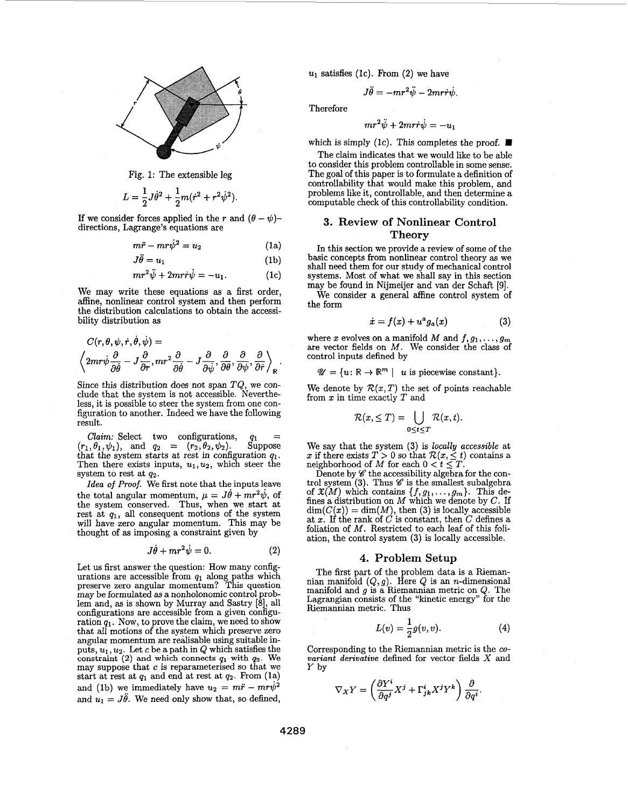

Fig. 1: The extensible leg

$$
L = \frac{1}{2}J\dot{\theta}^2 + \frac{1}{2}m(\dot{r}^2 + r^2\dot{\psi}^2).
$$

If we consider forces applied in the *r* and  $(\theta - \psi)$ directions, Lagrange's equations are

 $m\ddot{r} - mr\dot{\psi}^2 = u_2$  (1a)

$$
J\ddot{\theta} = u_1 \tag{1b}
$$

$$
mr^2\ddot{\psi} + 2mr\dot{r}\dot{\psi} = -u_1.
$$
 (1c)

We may write these equations **as** a first order, affine, nonlinear control system and then perform the distribution calculations to obtain the accessibility distribution as

$$
\left\langle 2mr\dot{\psi}\frac{\partial}{\partial\dot{\theta}}-J\frac{\partial}{\partial r},mr^2\frac{\partial}{\partial\dot{\theta}}-J\frac{\partial}{\partial\dot{\psi}},\frac{\partial}{\partial\theta},\frac{\partial}{\partial\psi},\frac{\partial}{\partial\dot{r}},\frac{\partial}{\partial\dot{r}}\right\rangle_{\rm R}.
$$

Since this distribution does not span  $TQ$ , we conclude that the system is not accessible. Nevertheless, it is possible to steer the system from one configuration to another. Indeed we have the following result.

*Claim:* Select two configurations,  $q_1$  = that the system starts at rest in configuration *q1.*  Then there exists inputs,  $u_1, u_2$ , which steer the system to rest at *42.*   $(r_1,\theta_1,\psi_1)$ , and  $q_2 = (r_2,\theta_2,\psi_2)$ . Suppose

*Idea of Proof.* We first note that the inputs leave the total angular momentum,  $\mu = J\dot{\theta} + mr^2\dot{\psi}$ , of the system conserved. Thus, when we start at rest at *41,* all consequent motions of the system will have zero angular momentum. This may be thought of **as** imposing a constraint given by

$$
J\dot{\theta} + mr^2 \dot{\psi} = 0. \tag{2}
$$

Let us first answer the question: How many configurations are accessible from *q1* along paths which preserve zero angular momentum? This question may be formulated **as** a nonholonomic control problem and, **as** is shown by Murray and Sastry [8], all configurations are accessible from a given configuration *q1.* Now, to prove the claim, we need to show that all motions of the system which preserve zero angular momentum are realisable using suitable inputs,  $u_1, u_2$ . Let  $c$  be a path in  $Q$  which satisfies the **constraint** (2) **and which connects** *q1* **with** *q2.* **We**  may suppose that *c* is reparameterised so that we start at rest at  $q_1$  and end at rest at  $q_2$ . From (1a) start at rest at  $q_1$  and end at rest at  $q_2$ . From (1a)<br>and (1b) we immediately have  $u_2 = m\ddot{r} - mr\dot{\psi}^2$ and (1b) we immediately have  $u_2 = m\ddot{r} - mr\dot{\psi}^2$ <br>and  $u_1 = J\ddot{\theta}$ . We need only show that, so defined,

 $u_1$  satisfies (1c). From (2) we have

$$
J\ddot{\theta}=-mr^2\ddot{\psi}-2mr\dot{r}\dot{\psi}.
$$

Therefore

$$
mr^2\ddot{\psi}+2mr\dot{r}\dot{\psi}=-u_1
$$

which is simply (1c). This completes the proof.  $\blacksquare$ 

The claim indicates that we would like to be able to consider this problem controllable in some sense. The goal of this paper is to formulate a definition of controllability that would make this problem, and problems like it, controllable, and then determine a computable check of this controllability condition.

## **3. Review of Nonlinear Control Theory**

In this section we provide a review of some of the shall need them for our study of mechanical control systems. Most of what we shall say in this section may be found in Nijmeijer and van der Schaft **[9].** 

We consider a general affine control system of the form

$$
\dot{x} = f(x) + u^a g_a(x) \tag{3}
$$

where *x* evolves on a manifold *M* and  $f, g_1, \ldots, g_m$  are vector fields on *M*. We consider the class of control inputs defined by

 $\mathscr{U} = \{u : \mathbb{R} \to \mathbb{R}^m \mid u \text{ is piecewise constant}\}.$ 

We denote by  $\mathcal{R}(x,T)$  the set of points reachable from *x* in time exactly *T* and

$$
\mathcal{R}(x,\leq T)=\bigcup_{0\leq t\leq T}\mathcal{R}(x,t).
$$

We say that the system (3) is *locally accessible* at  $x$  if there exists  $T > 0$  so that  $\mathcal{R}(x, \leq t)$  contains a neighborhood of M for each  $0 < t \leq T$ .

Denote by  $\mathscr C$  the accessibility algebra for the control system (3). Thus  $\mathscr C$  is the smallest subalgebra of  $\mathfrak{X}(M)$  which contains  $\{f,g_1,\ldots,g_m\}$ . This defines a distribution on *M* which we denote by C. If  $\dim(C(x)) = \dim(M)$ , then (3) is locally accessible<br>at x. If the rank of C is constant, then C defines a at x. If the rank of C is constant, then *<sup>C</sup>*defines a foliation of *M.* Restricted to each leaf of this foliation, the control system **(3)** is locally accessible.

## **4. Problem Setup**

The first part of the problem data is a Riemannian manifold  $(Q, g)$ . Here Q is an *n*-dimensional manifold and *g* is a Riemannian metric on Q. The Lagrangian consists of the "kinetic energy" for the Riemannian metric. Thus

$$
L(v) = \frac{1}{2}g(v,v). \tag{4}
$$

Corresponding to the Riemannian metric is the *co- variant derivative* defined for vector fields *X* and  $\widetilde{Y}$  by

$$
\nabla_X Y = \left( \frac{\partial Y^i}{\partial q^j} X^j + \Gamma^i_{jk} X^j Y^k \right) \frac{\partial}{\partial q^i}.
$$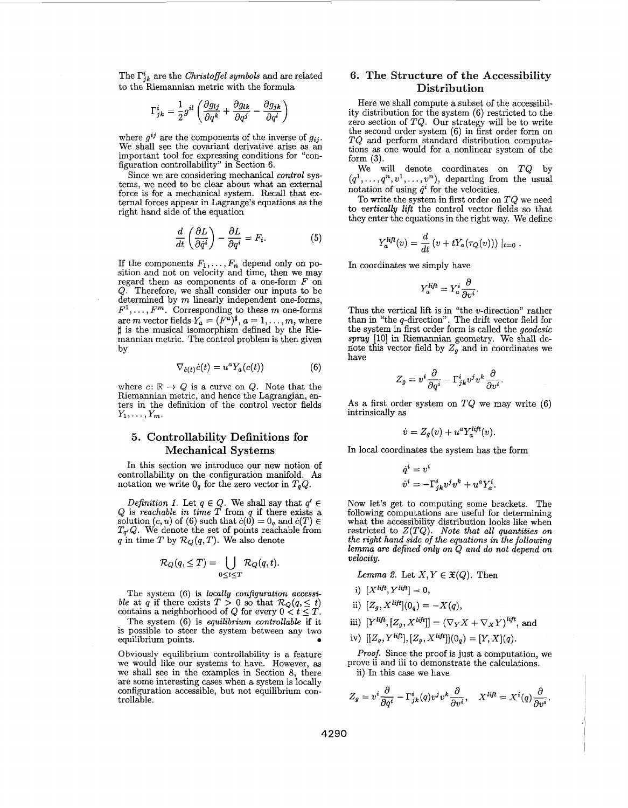The  $\Gamma_{jk}^{i}$  are the *Christoffel symbols* and are related to the Riemannian metric with the formula

$$
\Gamma_{jk}^{i} = \frac{1}{2}g^{il} \left( \frac{\partial g_{lj}}{\partial q^k} + \frac{\partial g_{lk}}{\partial q^j} - \frac{\partial g_{jk}}{\partial q^l} \right)
$$

where  $g^{ij}$  are the components of the inverse of  $g_{ij}$ . We shall see the covariant derivative arise as an important tool for expressing conditions for "configuration controllability" in Section *6.* 

Since we are considering mechanical *control* systems, we need to be clear about what an external force is for a mechanical system. Recall that ex- ternal forces appear in Lagrange's equations **as** the right hand side of the equation

$$
\frac{d}{dt}\left(\frac{\partial L}{\partial \dot{q}^i}\right) - \frac{\partial L}{\partial q^i} = F_i.
$$
 (5)

If the components  $F_1, \ldots, F_n$  depend only on position and not on velocity and time, then we may regard them **as** components of a one-form *F* on *Q.* Therefore, we shall consider our inputs to be determined by *m* linearly independent one-forms,  $F^1, \ldots, F^m$ . Corresponding to these *m* one-forms are *m* vector fields  $Y_a = (F^a)^{\sharp}, a = 1, \ldots, m$ , where # is the musical isomorphism defined by the **Rie**mannian metric. The control problem is then given by

$$
\nabla_{\dot{c}(t)}\dot{c}(t) = u^a Y_a(c(t))\tag{6}
$$

where  $c: \mathbb{R} \to Q$  is a curve on *Q*. Note that the Riemannian metric, and hence the Lagrangian, enters in the definition of the control vector fields  $Y_1,\ldots,Y_m$ .

# **5. Controllability Definitions for Mechanical Systems**

In this section we introduce our new notion of controllability on the configuration manifold. **As**  notation we write  $0_q$  for the zero vector in  $T_qQ$ .

*Definition 1.* Let  $q \in Q$ . We shall say that  $q' \in Q$  is reachable in time T from q if there exists a solution  $(c, u)$  of  $(6)$  such that  $\dot{c}(0) = 0_q$  and  $\dot{c}(T) \in$  $T_{q}$ *Q*. We denote the set of points reachable from *q* in time *T* by  $\mathcal{R}_Q(q, T)$ . We also denote

$$
\mathcal{R}_Q(q,\leq T)=\bigcup_{0\leq t\leq T}\mathcal{R}_Q(q,t).
$$

The system (6) is *locally configuration accessible at <i>q* if there exists  $T > 0$  so that  $\mathcal{R}_Q(q, \leq t)$ contains a neighborhood of Q for every  $0 < t \leq T$ .

The system *(6)* is *equilibrium controllable* if it is possible to steer the system between any two equilibrium points.

Obviously equilibrium controllability is a feature we would like our systems to have. However, **as** we shall see in the examples in Section 8, there are some interesting cases when a system is locally configuration accessible, but not equilibrium con-<br>trollable.

## **6. The Structure of the Accessibility Distribution**

Here we shall compute a subset of the accessibility distribution for the system (6) restricted to the zero section of  $TQ$ . Our strategy will be to write<br>the second order system (6) in first order form on TQ and perform standard distribution computations **as** one would for a nonlinear system of the form **(3).** 

We will denote coordinates on *TQ* by  $(q<sup>1</sup>, \ldots, q<sup>n</sup>, v<sup>1</sup>, \ldots, v<sup>n</sup>)$ , departing from the usual notation of using  $\dot{q}^i$  for the velocities.

To write the system in first order on *TQ* we need to *vertically lift* the control vector fields so that they enter the equations in the right way. We define

$$
Y_a^{\text{lift}}(v) = \frac{d}{dt} (v + t Y_a(\tau_Q(v))) |_{t=0}.
$$

In coordinates we simply have

$$
Y_a^{lift} = Y_a^i \frac{\partial}{\partial v^i}.
$$

Thus the vertical lift is in "the v-direction" rather than in "the q-direction". The drift vector field for the system in first order form is called the *geodesic spray* [lo] in Riemannian geometry. We shall denote this vector field by  $Z_g$  and in coordinates we have

$$
Z_g = v^i \frac{\partial}{\partial q^i} - \Gamma^i_{jk} v^j v^k \frac{\partial}{\partial v^i}.
$$

**As** a first order system on *TQ* we may write *(6)*  intrinsically as

$$
\dot{v} = Z_g(v) + u^a Y_a^{lift}(v).
$$

In local coordinates the system has the form

$$
\dot{q}^i = v^i
$$
  

$$
\dot{v}^i = -\Gamma^i_{jk}v^jv^k + u^aY^i_a.
$$

Now let's get to computing some brackets. The following computations are useful for determining what the accessibility distribution looks like when restricted to *Z(TQ). Note that all quantities on the right hand side of the equations in the following lemma are defined only on Q and do not depend on velocity.* 

*Lemma 2.* Let  $X, Y \in \mathfrak{X}(Q)$ . Then

- *i*)  $[X^{lift}, Y^{lift}] = 0$ ,
- ii)  $[Z_g, X^{lift}](0_q) = -X(q)$ ,
- iii)  $[Y^{lift}, [Z_q, X^{lift}]] = (\nabla_Y X + \nabla_X Y)^{lift}$ , and
- iv)  $[[Z_g, Y^{lift}], [Z_g, X^{lift}]](0_g) = [Y, X](q).$

*Proof.* Since the proof is just a computation, we ii) In this case we have prove ii and iii to demonstrate the calculations.

$$
Z_g = v^i \frac{\partial}{\partial q^i} - \Gamma^i_{jk}(q) v^j v^k \frac{\partial}{\partial v^i}, \quad X^{lift} = X^i(q) \frac{\partial}{\partial v^i}.
$$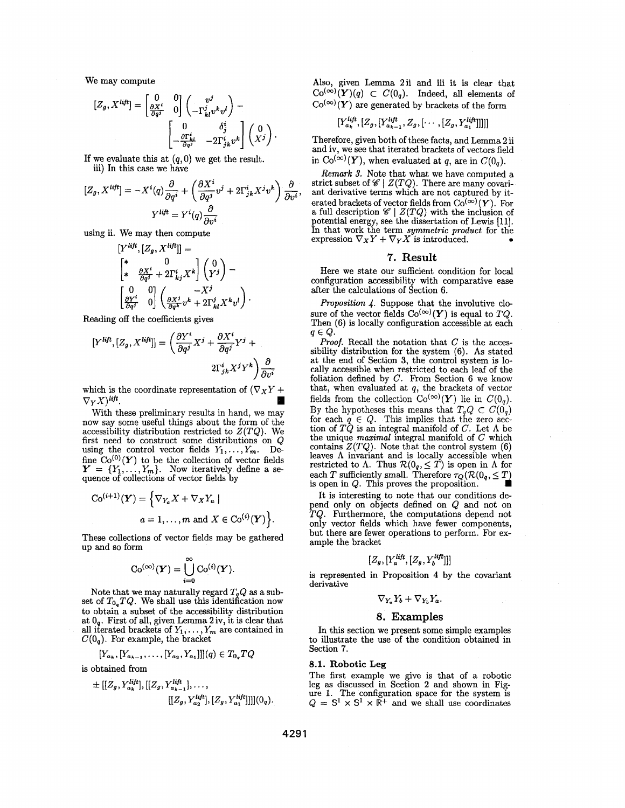We may compute

$$
[Z_g, X^{lift}] = \begin{bmatrix} 0 & 0 \\ \frac{\partial X^i}{\partial q^j} & 0 \end{bmatrix} \begin{pmatrix} v^j \\ -\Gamma^j_{kl} v^k v^l \end{pmatrix} - \begin{bmatrix} 0 & \delta^i_j \\ -\frac{\partial \Gamma^i_{kl}}{\partial q^j} & -2\Gamma^i_{jk} v^k \end{bmatrix} \begin{pmatrix} 0 \\ X^j \end{pmatrix}.
$$

If we evaluate this at  $(q, 0)$  we get the result. iii) In this case we have

$$
[Z_g, X^{lift}] = -X^i(q)\frac{\partial}{\partial q^i} + \left(\frac{\partial X^i}{\partial q^j}v^j + 2\Gamma^i_{jk}X^jv^k\right)\frac{\partial}{\partial v^i},
$$

$$
Y^{lift} = Y^i(q)\frac{\partial}{\partial v^i}
$$

using ii. We may then compute

$$
\begin{split} & [Y^{lift}, [Z_g, X^{lift}]] = \\ & \begin{bmatrix} * & 0 \\ * & \frac{\partial X^i}{\partial q^j} + 2\Gamma^i_{kj} X^k \end{bmatrix} \begin{pmatrix} 0 \\ Y^j \end{pmatrix} - \\ & \begin{bmatrix} 0 & 0 \\ \frac{\partial Y^i}{\partial q^j} & 0 \end{bmatrix} \begin{pmatrix} -X^j \\ \frac{\partial X^j}{\partial q^k} v^k + 2\Gamma^j_{kl} X^k v^l \end{pmatrix}. \end{split}
$$

Reading off the coefficients gives

$$
[Y^{lift}, [Z_g, X^{lift}]] = \left(\frac{\partial Y^i}{\partial q^j} X^j + \frac{\partial X^i}{\partial q^j} Y^j + \frac{\partial X^i}{\partial y^i} X^j Y^k\right) \frac{\partial}{\partial v^i}
$$

which is the coordinate representation of  $(\nabla_X Y +$  $\nabla_Y X$ <sup>lift</sup>.

With these preliminary results in hand, we may now say some useful things about the form of the accessibility distribution restricted to *Z(TQ).* We first need to construct some distributions on *Q*  using the control vector fields  $Y_1, \ldots, Y_m$ . Define  $Co^{(0)}(Y)$  to be the collection of vector fields  $Y = \{Y_1, \ldots, Y_m\}$ . Now iteratively define a sequence of collections of vector fields by

$$
Co^{(i+1)}(\boldsymbol{Y}) = \left\{ \nabla_{Y_a} X + \nabla_X Y_a \mid
$$
  

$$
a = 1, \dots, m \text{ and } X \in Co^{(i)}(\boldsymbol{Y}) \right\}.
$$

These collections of vector fields may be gathered up and so form

$$
\mathrm{Co}^{(\infty)}(Y)=\bigcup_{i=0}^{\infty}\mathrm{Co}^{(i)}(Y).
$$

Note that we may naturally regard  $T_qQ$  as a subset of  $T_{0}$ <sub> $TQ$ </sub>. We shall use this identification now to obtain a subset of the accessibility distribution at  $0_q$ . First of all, given Lemma 2 iv, it is clear that all iterated brackets of  $Y_1, \ldots, Y_m$  are contained in  $C(0<sub>a</sub>)$ . For example, the bracket

$$
[Y_{a_k}, [Y_{a_{k-1}}, \ldots, [Y_{a_2}, Y_{a_1}]]](q) \in T_{0_q}TQ
$$

is obtained from

$$
\pm [[Z_g, Y_{a_k}^{lift}],[[Z_g, Y_{a_{k-1}}^{lift}], \ldots, \newline [[Z_g, Y_{a_2}^{lift}],[Z_g, Y_{a_1}^{lift}]]]](0_q).
$$

Also, given Lemma 2ii and iii it is clear that  $Co^{(\infty)}(Y)(q) \subset C(0_q)$ . Indeed, all elements of  $Co^{(\infty)}(Y)$  are generated by brackets of the form

$$
[Y_{a_k}^{lift}, [Z_g, [Y_{a_{k-1}}^{lift}, Z_g, [\cdots, [Z_g, Y_{a_1}^{lift}]]]]]
$$

Therefore, given both of these facts, and Lemma *2* ii and iv, we see that iterated brackets of vectors field in  $Co^{(\infty)}(\mathbf{Y})$ , when evaluated at *q*, are in  $C(0_q)$ .

*Remark 3.* Note that what we have computed a strict subset of  $\mathscr{C}$  |  $Z(TQ)$ . There are many covariant derivative terms which are not captured by iterated brackets of vector fields from  $Co^{(\infty)}(Y)$ . For a full description  $\mathscr{C}$  |  $Z(TQ)$  with the inclusion of potential energy, see the dissertation of Lewis [ll]. In that work the term *symmetric product* for the expression  $\nabla_X Y + \nabla_Y X$  is introduced.

## *7.* **Result**

Here we state our sufficient condition for local configuration accessibility with comparative ease after the calculations of Section 6.

*Proposition 4.* Suppose that the involutive closure of the vector fields  $Co^{(\infty)}(\boldsymbol{Y})$  is equal to  $TQ$ . Then (6) is locally configuration accessible at each  $q \in Q$ .

*Proof.* Recall the notation that *<sup>C</sup>*is the acces- sibility distribution for the system (6). **As** stated at the end of Section **3,** the control system is locally accessible when restricted to each leaf of the foliation defined by  $C$ . From Section 6 we know that, when evaluated at  $q$ , the brackets of vector fields from the collection  $Co^{(\infty)}(Y)$  lie in  $C(0_q)$ . By the hypotheses this means that  $T_q Q \subset C(\bar{0}_q)$ for each  $q \in Q$ . This implies that the zero section of  $TQ$  is an integral manifold of C. Let  $\Lambda$  be the unique *maximal* integral manifold of *C* which contains  $Z(TQ)$ . Note that the control system  $(6)$ leaves  $\Lambda$  invariant and is locally accessible when restricted to  $\Lambda$ . Thus  $\mathcal{R}(0_q, \leq T)$  is open in  $\Lambda$  for each *T* sufficiently small. Therefore  $\tau_Q(\mathcal{R}(0_q, \leq T))$ is open *in Q.* This proves the proposition.

It is interesting to note that our conditions depend only on objects defined on *Q* and not on TQ. Furthermore, the computations depend not only vector fields which have fewer components, but there are fewer operations to perform. For ex- ample the bracket

$$
[Z_g, [Y_a^{lift}, [Z_g, Y_b^{lift}]]]
$$

is represented in Proposition **4** by the covariant derivative

$$
\nabla_{Y_a} Y_b + \nabla_{Y_b} Y_a.
$$

#### **8. Examples**

In this section we present some simple examples to illustrate the use of the condition obtained in Section **7.** 

## **8.1. Robotic Leg**

The first example we give is that of a robotic leg as discussed in Section 2 and shown in Figleg **as** discussed in Section *2* and shown in Fig- ure **1.** The configuration space for the system is  $Q = \mathbb{S}^1 \times \mathbb{S}^1 \times \widetilde{\mathbb{R}}^+$  and we shall use coordinates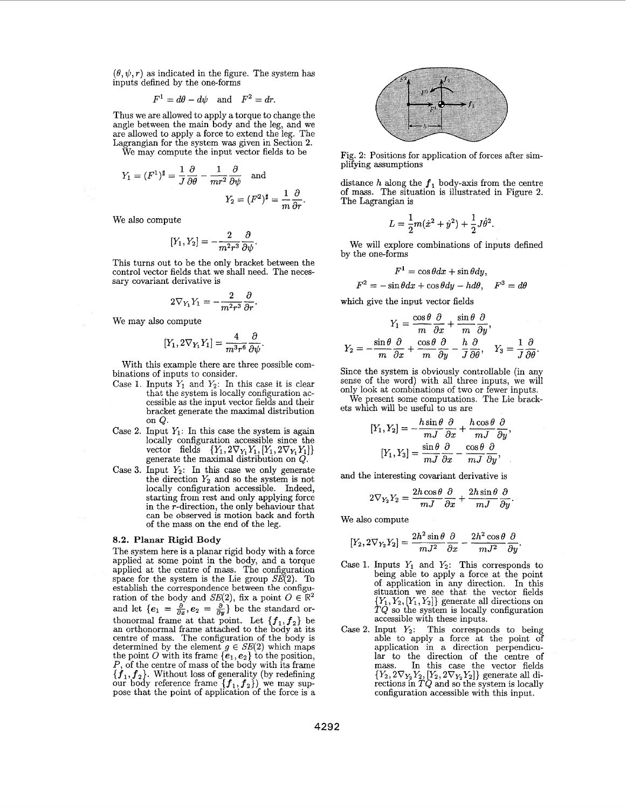$(\theta, \psi, r)$  as indicated in the figure. The system has inputs defined by the one-forms

$$
F^1 = d\theta - d\psi \quad \text{and} \quad F^2 = dr.
$$

Thus we are allowed to apply a torque to change the angle between the main body and the leg, and we are allowed to apply a force to extend the leg. The Lagrangian for the system was given in Section 2. We may compute the input vector fields to be

$$
Y_1 = (F^1)^{\sharp} = \frac{1}{J} \frac{\partial}{\partial \theta} - \frac{1}{mr^2} \frac{\partial}{\partial \psi} \quad \text{and}
$$

$$
Y_2 = (F^2)^{\sharp} = \frac{1}{m} \frac{\partial}{\partial r}
$$

We also compute

$$
[Y_1,Y_2]=-\frac{2}{m^2r^3}\frac{\partial}{\partial\psi}.
$$

This turns out to be the only bracket between the control vector fields that we shall need. The neces- sary covariant derivative is

$$
2\nabla_{Y_1}Y_1=-\frac{2}{m^2r^3}\frac{\partial}{\partial r}.
$$

We may also compute

$$
[Y_1, 2\nabla_{Y_1} Y_1] = \frac{4}{m^3 r^6} \frac{\partial}{\partial \psi}.
$$

With this example there are three possible combinations of inputs to consider.

- Case 1. Inputs  $Y_1$  and  $Y_2$ : In this case it is clear that the system is locally configuration accessible as the input vector fields and their bracket generate the maximal distribution on Q.
- Case 2. Input  $Y_1$ : In this case the system is again locally configuration accessible since the vector fields  $\{Y_1, 2\nabla_{Y_1} Y_1, [Y_1, 2\nabla_{Y_1} Y_1]\}$ generate the maximal distribution on  $Q$ .
- Case 3. Input  $Y_2$ : In this case we only generate the direction  $Y_2$  and so the system is not locally configuration accessible. Indeed, starting from rest and only applying force<br>in the  $r$ -direction, the only behaviour that can be observed is motion back and forth of the mass on the end of the leg.

#### **8.2. Planar Rigid Body**

The system here is a planar rigid body with **a** force applied at some point in the body, and a torque applied at the centre of mass. The configuration space for the system is the Lie group  $S\cancel{E(2)}$ . To establish the correspondence between the configuration of the body and  $SE(2)$ , fix a point  $O \in \mathbb{R}^2$ and let  $\{e_1 = \frac{\partial}{\partial x}, e_2 = \frac{\partial}{\partial y}\}$  be the standard orthonormal frame at that point. Let  $\{f_1, f_2\}$  be an orthonormal frame attached to the body at its centre of mass. The configuration of the body is determined by the element  $g \in SE(2)$  which maps the point O with its frame  $\{e_1, e_2\}$  to the position, *P,* of the centre of mass of the body with its frame  ${\lbrace f_1, f_2 \rbrace}$ . Without loss of generality (by redefining our body reference frame  ${\lbrace f_1, f_2 \rbrace}$ ) we may suppose that the point of application of the force is a



Fig. 2: Positions for application of forces after simplifylng assumptions

distance  $h$  along the  $f_1$  body-axis from the centre of mass. The situation is illustrated in Figure 2. The Lagrangian is

$$
L = \frac{1}{2}m(\dot{x}^2 + \dot{y}^2) + \frac{1}{2}J\dot{\theta}^2.
$$

We will explore combinations of inputs defined by the one-forms

$$
F^1 = \cos\theta dx + \sin\theta dy,
$$

$$
F^2 = -\sin\theta dx + \cos\theta dy - h d\theta, \quad F^3 = d\theta
$$

which give the input vector fields

$$
Y_1 = \frac{\cos \theta}{m} \frac{\partial}{\partial x} + \frac{\sin \theta}{m} \frac{\partial}{\partial y},
$$
  

$$
Y_2 = -\frac{\sin \theta}{m} \frac{\partial}{\partial x} + \frac{\cos \theta}{m} \frac{\partial}{\partial y} - \frac{h}{J} \frac{\partial}{\partial \theta}, \quad Y_3 = \frac{1}{J} \frac{\partial}{\partial \theta}.
$$

Since the system is obviously controllable (in any sense of the word) with all three inputs, we will only look at combinations of two or fewer inputs.

We present some computations. The Lie brack-

Let us which will be useful to us are

\n
$$
[Y_1, Y_2] = -\frac{h \sin \theta}{mJ} \frac{\partial}{\partial x} + \frac{h \cos \theta}{mJ} \frac{\partial}{\partial y},
$$
\n
$$
[Y_1, Y_3] = \frac{\sin \theta}{mJ} \frac{\partial}{\partial x} - \frac{\cos \theta}{mJ} \frac{\partial}{\partial y},
$$

and the interesting covariant derivative is  
\n
$$
2\nabla_{Y_2}Y_2 = \frac{2h\cos\theta}{mJ}\frac{\partial}{\partial x} + \frac{2h\sin\theta}{mJ}\frac{\partial}{\partial y}.
$$

We also compute

e also compute  
\n
$$
[Y_2, 2\nabla_{Y_2} Y_2] = \frac{2h^2 \sin \theta}{mJ^2} \frac{\partial}{\partial x} - \frac{2h^2 \cos \theta}{mJ^2} \frac{\partial}{\partial y}.
$$

- Case 1. Inputs  $Y_1$  and  $Y_2$ : This corresponds to being able to apply a force at the point of application in any direction. In this situation we see that the vector fields  ${Y_1, Y_2, [Y_1, Y_2]}$  generate all directions on  $TQ$  so the system is locally configuration accessible with these inputs.
- Case 2. Input  $Y_2$ : This corresponds to being able to apply a force at the point of application in **a** direction perpendicular to the direction of the centre of mass. In this case the vector fields  ${Y_2, 2\nabla_{Y_2}Y_2, [Y_2, 2\nabla_{Y_2}Y_2]}$  generate all directions in  $\widetilde{T}Q$  and so the system is locally configuration accessible with this input.